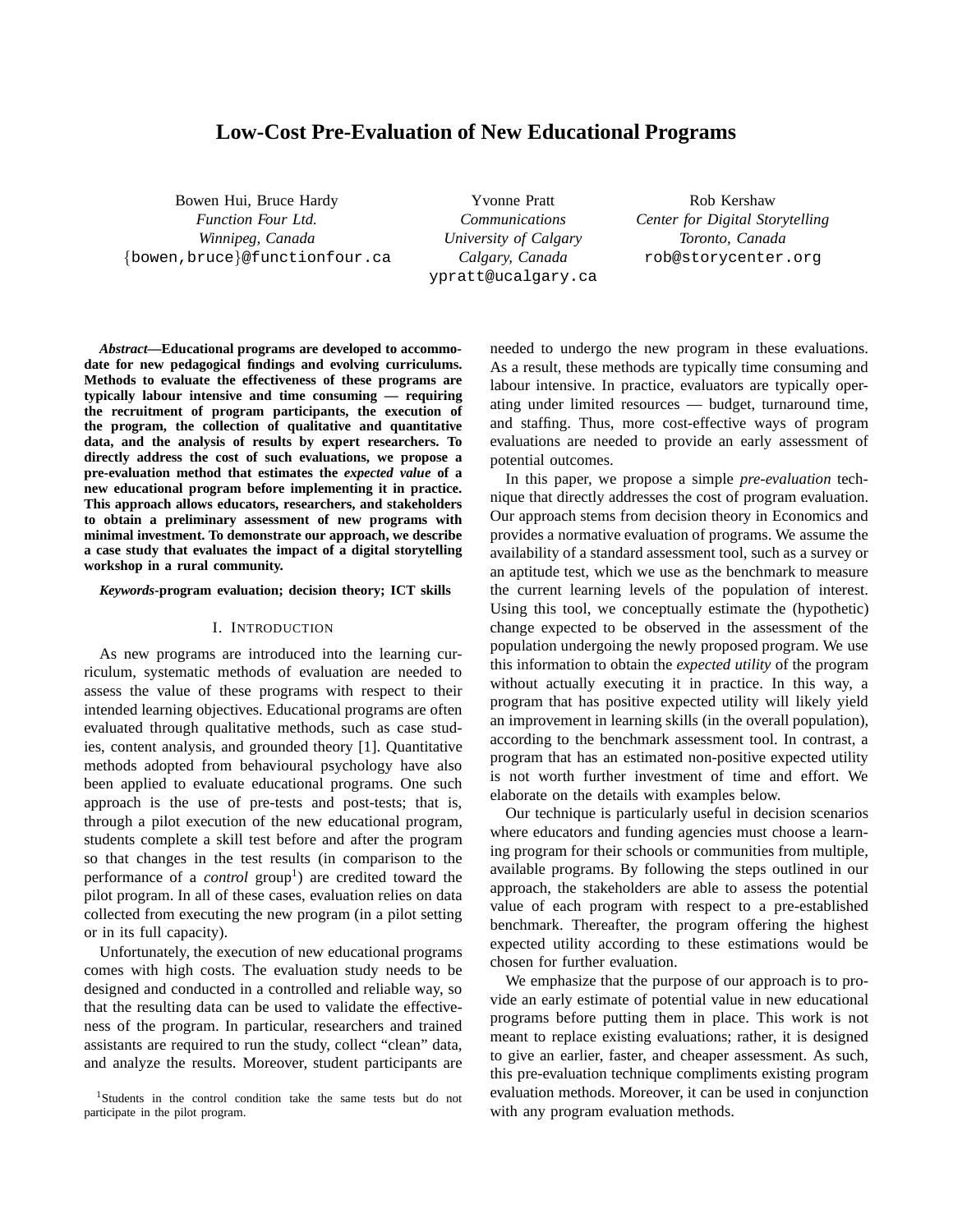# **Low-Cost Pre-Evaluation of New Educational Programs**

Bowen Hui, Bruce Hardy *Function Four Ltd. Winnipeg, Canada* {bowen,bruce}@functionfour.ca

Yvonne Pratt *Communications University of Calgary Calgary, Canada* ypratt@ucalgary.ca

Rob Kershaw *Center for Digital Storytelling Toronto, Canada* rob@storycenter.org

*Abstract***—Educational programs are developed to accommodate for new pedagogical findings and evolving curriculums. Methods to evaluate the effectiveness of these programs are typically labour intensive and time consuming — requiring the recruitment of program participants, the execution of the program, the collection of qualitative and quantitative data, and the analysis of results by expert researchers. To directly address the cost of such evaluations, we propose a pre-evaluation method that estimates the** *expected value* **of a new educational program before implementing it in practice. This approach allows educators, researchers, and stakeholders to obtain a preliminary assessment of new programs with minimal investment. To demonstrate our approach, we describe a case study that evaluates the impact of a digital storytelling workshop in a rural community.**

#### *Keywords***-program evaluation; decision theory; ICT skills**

#### I. INTRODUCTION

As new programs are introduced into the learning curriculum, systematic methods of evaluation are needed to assess the value of these programs with respect to their intended learning objectives. Educational programs are often evaluated through qualitative methods, such as case studies, content analysis, and grounded theory [1]. Quantitative methods adopted from behavioural psychology have also been applied to evaluate educational programs. One such approach is the use of pre-tests and post-tests; that is, through a pilot execution of the new educational program, students complete a skill test before and after the program so that changes in the test results (in comparison to the performance of a *control* group<sup>1</sup>) are credited toward the pilot program. In all of these cases, evaluation relies on data collected from executing the new program (in a pilot setting or in its full capacity).

Unfortunately, the execution of new educational programs comes with high costs. The evaluation study needs to be designed and conducted in a controlled and reliable way, so that the resulting data can be used to validate the effectiveness of the program. In particular, researchers and trained assistants are required to run the study, collect "clean" data, and analyze the results. Moreover, student participants are needed to undergo the new program in these evaluations. As a result, these methods are typically time consuming and labour intensive. In practice, evaluators are typically operating under limited resources — budget, turnaround time, and staffing. Thus, more cost-effective ways of program evaluations are needed to provide an early assessment of potential outcomes.

In this paper, we propose a simple *pre-evaluation* technique that directly addresses the cost of program evaluation. Our approach stems from decision theory in Economics and provides a normative evaluation of programs. We assume the availability of a standard assessment tool, such as a survey or an aptitude test, which we use as the benchmark to measure the current learning levels of the population of interest. Using this tool, we conceptually estimate the (hypothetic) change expected to be observed in the assessment of the population undergoing the newly proposed program. We use this information to obtain the *expected utility* of the program without actually executing it in practice. In this way, a program that has positive expected utility will likely yield an improvement in learning skills (in the overall population), according to the benchmark assessment tool. In contrast, a program that has an estimated non-positive expected utility is not worth further investment of time and effort. We elaborate on the details with examples below.

Our technique is particularly useful in decision scenarios where educators and funding agencies must choose a learning program for their schools or communities from multiple, available programs. By following the steps outlined in our approach, the stakeholders are able to assess the potential value of each program with respect to a pre-established benchmark. Thereafter, the program offering the highest expected utility according to these estimations would be chosen for further evaluation.

We emphasize that the purpose of our approach is to provide an early estimate of potential value in new educational programs before putting them in place. This work is not meant to replace existing evaluations; rather, it is designed to give an earlier, faster, and cheaper assessment. As such, this pre-evaluation technique compliments existing program evaluation methods. Moreover, it can be used in conjunction with any program evaluation methods.

<sup>1</sup>Students in the control condition take the same tests but do not participate in the pilot program.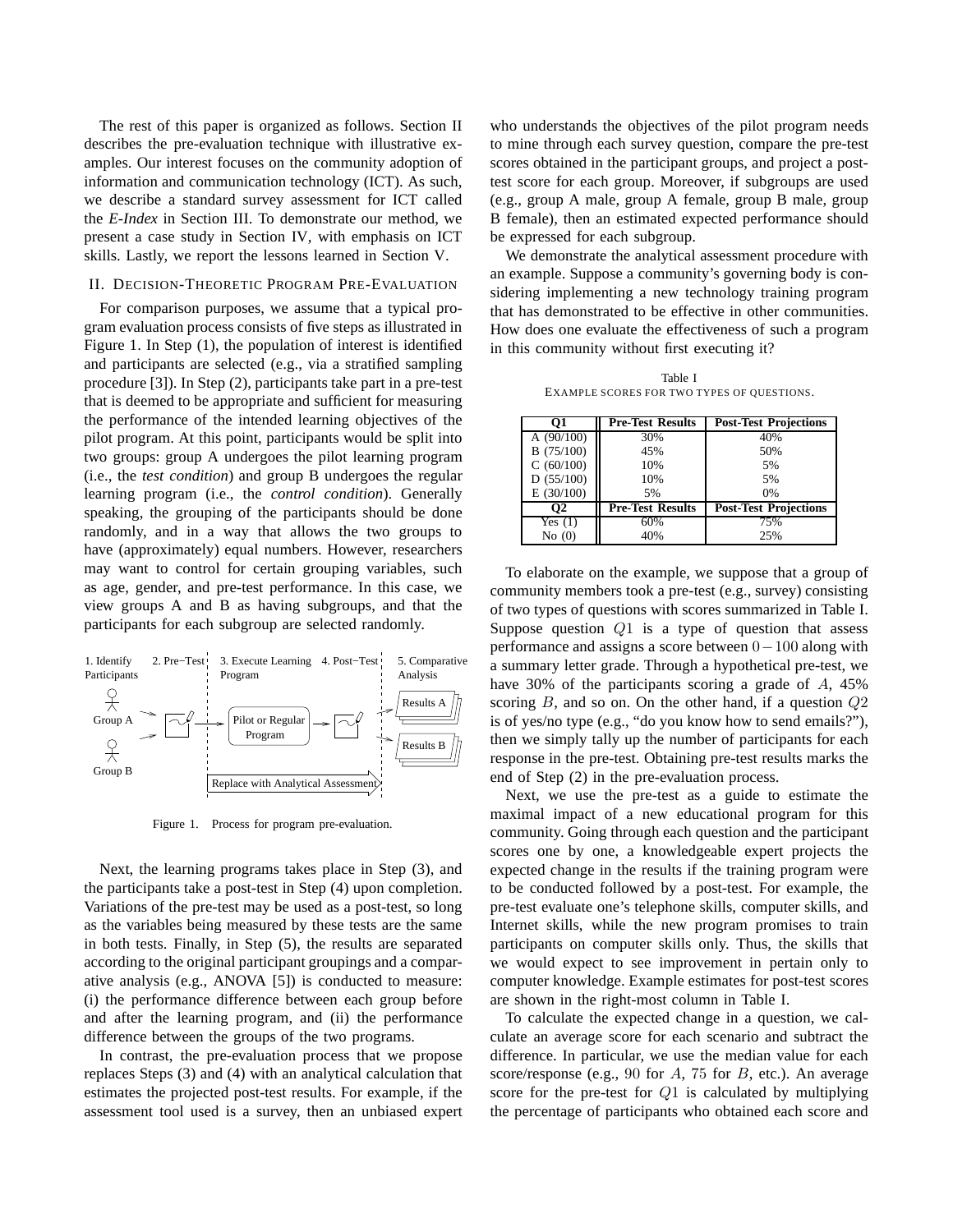The rest of this paper is organized as follows. Section II describes the pre-evaluation technique with illustrative examples. Our interest focuses on the community adoption of information and communication technology (ICT). As such, we describe a standard survey assessment for ICT called the *E-Index* in Section III. To demonstrate our method, we present a case study in Section IV, with emphasis on ICT skills. Lastly, we report the lessons learned in Section V.

### II. DECISION-THEORETIC PROGRAM PRE-EVALUATION

For comparison purposes, we assume that a typical program evaluation process consists of five steps as illustrated in Figure 1. In Step (1), the population of interest is identified and participants are selected (e.g., via a stratified sampling procedure [3]). In Step (2), participants take part in a pre-test that is deemed to be appropriate and sufficient for measuring the performance of the intended learning objectives of the pilot program. At this point, participants would be split into two groups: group A undergoes the pilot learning program (i.e., the *test condition*) and group B undergoes the regular learning program (i.e., the *control condition*). Generally speaking, the grouping of the participants should be done randomly, and in a way that allows the two groups to have (approximately) equal numbers. However, researchers may want to control for certain grouping variables, such as age, gender, and pre-test performance. In this case, we view groups A and B as having subgroups, and that the participants for each subgroup are selected randomly.



Figure 1. Process for program pre-evaluation.

Next, the learning programs takes place in Step (3), and the participants take a post-test in Step (4) upon completion. Variations of the pre-test may be used as a post-test, so long as the variables being measured by these tests are the same in both tests. Finally, in Step (5), the results are separated according to the original participant groupings and a comparative analysis (e.g., ANOVA [5]) is conducted to measure: (i) the performance difference between each group before and after the learning program, and (ii) the performance difference between the groups of the two programs.

In contrast, the pre-evaluation process that we propose replaces Steps (3) and (4) with an analytical calculation that estimates the projected post-test results. For example, if the assessment tool used is a survey, then an unbiased expert who understands the objectives of the pilot program needs to mine through each survey question, compare the pre-test scores obtained in the participant groups, and project a posttest score for each group. Moreover, if subgroups are used (e.g., group A male, group A female, group B male, group B female), then an estimated expected performance should be expressed for each subgroup.

We demonstrate the analytical assessment procedure with an example. Suppose a community's governing body is considering implementing a new technology training program that has demonstrated to be effective in other communities. How does one evaluate the effectiveness of such a program in this community without first executing it?

Table I EXAMPLE SCORES FOR TWO TYPES OF QUESTIONS.

|              | <b>Pre-Test Results</b> | <b>Post-Test Projections</b> |
|--------------|-------------------------|------------------------------|
| A $(90/100)$ | 30%                     | 40%                          |
| B(75/100)    | 45%                     | 50%                          |
| C(60/100)    | 10%                     | 5%                           |
| D(55/100)    | 10%                     | 5%                           |
| E(30/100)    | 5%                      | 0%                           |
| O2           | <b>Pre-Test Results</b> | <b>Post-Test Projections</b> |
| Yes $(1)$    | 60%                     | 75%                          |
| No $(0)$     | 40%                     | 25%                          |

To elaborate on the example, we suppose that a group of community members took a pre-test (e.g., survey) consisting of two types of questions with scores summarized in Table I. Suppose question  $Q1$  is a type of question that assess performance and assigns a score between 0−100 along with a summary letter grade. Through a hypothetical pre-test, we have 30% of the participants scoring a grade of A, 45% scoring  $B$ , and so on. On the other hand, if a question  $Q2$ is of yes/no type (e.g., "do you know how to send emails?"), then we simply tally up the number of participants for each response in the pre-test. Obtaining pre-test results marks the end of Step (2) in the pre-evaluation process.

Next, we use the pre-test as a guide to estimate the maximal impact of a new educational program for this community. Going through each question and the participant scores one by one, a knowledgeable expert projects the expected change in the results if the training program were to be conducted followed by a post-test. For example, the pre-test evaluate one's telephone skills, computer skills, and Internet skills, while the new program promises to train participants on computer skills only. Thus, the skills that we would expect to see improvement in pertain only to computer knowledge. Example estimates for post-test scores are shown in the right-most column in Table I.

To calculate the expected change in a question, we calculate an average score for each scenario and subtract the difference. In particular, we use the median value for each score/response (e.g., 90 for  $A$ , 75 for  $B$ , etc.). An average score for the pre-test for Q1 is calculated by multiplying the percentage of participants who obtained each score and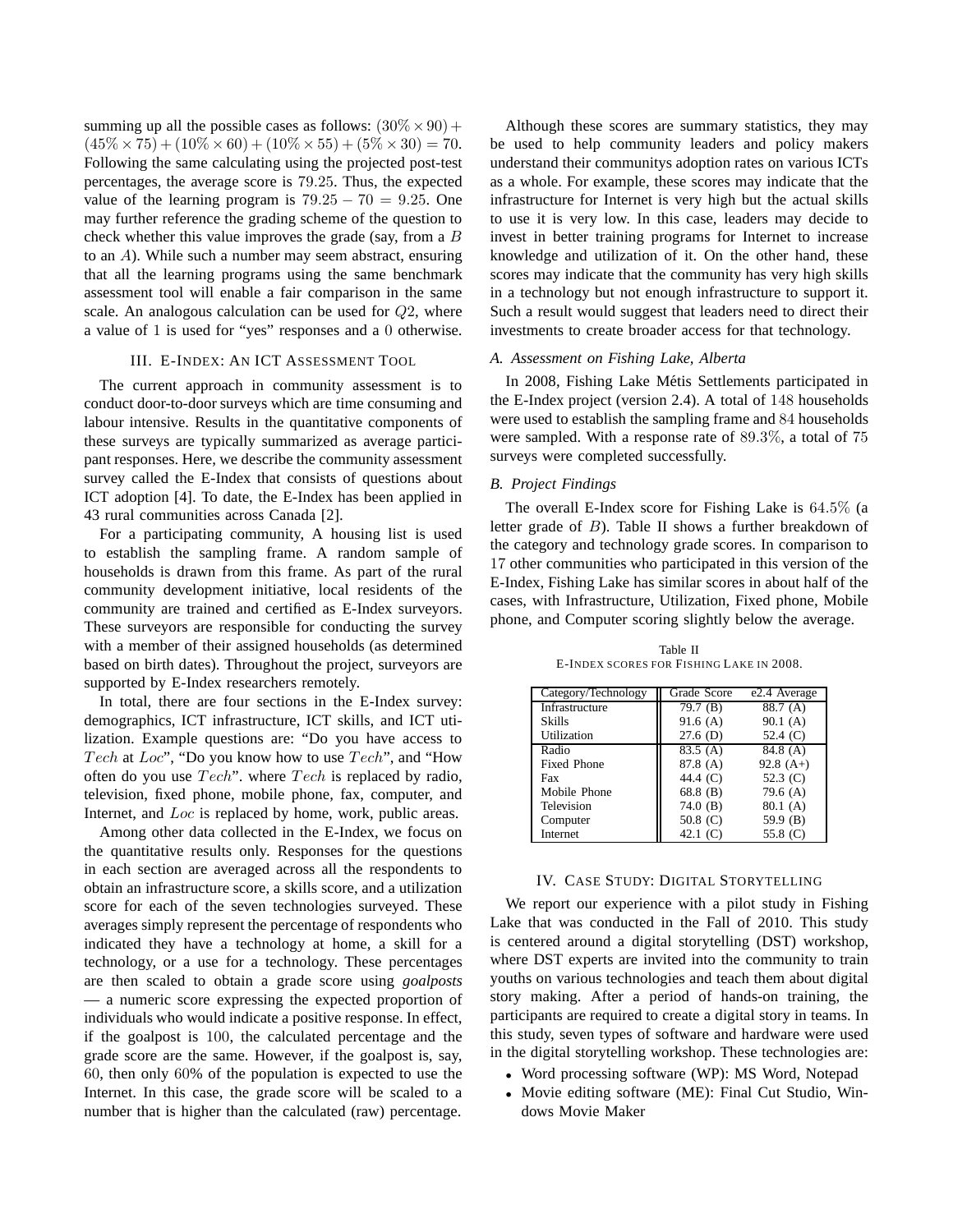summing up all the possible cases as follows:  $(30\% \times 90) +$  $(45\% \times 75) + (10\% \times 60) + (10\% \times 55) + (5\% \times 30) = 70.$ Following the same calculating using the projected post-test percentages, the average score is 79.25. Thus, the expected value of the learning program is  $79.25 - 70 = 9.25$ . One may further reference the grading scheme of the question to check whether this value improves the grade (say, from a B to an A). While such a number may seem abstract, ensuring that all the learning programs using the same benchmark assessment tool will enable a fair comparison in the same scale. An analogous calculation can be used for Q2, where a value of 1 is used for "yes" responses and a 0 otherwise.

### III. E-INDEX: AN ICT ASSESSMENT TOOL

The current approach in community assessment is to conduct door-to-door surveys which are time consuming and labour intensive. Results in the quantitative components of these surveys are typically summarized as average participant responses. Here, we describe the community assessment survey called the E-Index that consists of questions about ICT adoption [4]. To date, the E-Index has been applied in 43 rural communities across Canada [2].

For a participating community, A housing list is used to establish the sampling frame. A random sample of households is drawn from this frame. As part of the rural community development initiative, local residents of the community are trained and certified as E-Index surveyors. These surveyors are responsible for conducting the survey with a member of their assigned households (as determined based on birth dates). Throughout the project, surveyors are supported by E-Index researchers remotely.

In total, there are four sections in the E-Index survey: demographics, ICT infrastructure, ICT skills, and ICT utilization. Example questions are: "Do you have access to Tech at Loc", "Do you know how to use Tech", and "How often do you use Tech". where Tech is replaced by radio, television, fixed phone, mobile phone, fax, computer, and Internet, and Loc is replaced by home, work, public areas.

Among other data collected in the E-Index, we focus on the quantitative results only. Responses for the questions in each section are averaged across all the respondents to obtain an infrastructure score, a skills score, and a utilization score for each of the seven technologies surveyed. These averages simply represent the percentage of respondents who indicated they have a technology at home, a skill for a technology, or a use for a technology. These percentages are then scaled to obtain a grade score using *goalposts* — a numeric score expressing the expected proportion of individuals who would indicate a positive response. In effect, if the goalpost is 100, the calculated percentage and the grade score are the same. However, if the goalpost is, say, 60, then only 60% of the population is expected to use the Internet. In this case, the grade score will be scaled to a number that is higher than the calculated (raw) percentage.

Although these scores are summary statistics, they may be used to help community leaders and policy makers understand their communitys adoption rates on various ICTs as a whole. For example, these scores may indicate that the infrastructure for Internet is very high but the actual skills to use it is very low. In this case, leaders may decide to invest in better training programs for Internet to increase knowledge and utilization of it. On the other hand, these scores may indicate that the community has very high skills in a technology but not enough infrastructure to support it. Such a result would suggest that leaders need to direct their investments to create broader access for that technology.

## *A. Assessment on Fishing Lake, Alberta*

In 2008, Fishing Lake Métis Settlements participated in the E-Index project (version 2.4). A total of 148 households were used to establish the sampling frame and 84 households were sampled. With a response rate of 89.3%, a total of 75 surveys were completed successfully.

## *B. Project Findings*

The overall E-Index score for Fishing Lake is 64.5% (a letter grade of B). Table II shows a further breakdown of the category and technology grade scores. In comparison to 17 other communities who participated in this version of the E-Index, Fishing Lake has similar scores in about half of the cases, with Infrastructure, Utilization, Fixed phone, Mobile phone, and Computer scoring slightly below the average.

| Category/Technology   | Grade Score | e2.4 Average |  |  |
|-----------------------|-------------|--------------|--|--|
| <b>Infrastructure</b> | 79.7(B)     | 88.7 (A)     |  |  |
| <b>Skills</b>         | 91.6(A)     | 90.1(A)      |  |  |
| Utilization           | $27.6$ (D)  | 52.4 $(C)$   |  |  |
| Radio                 | 83.5(A)     | 84.8(A)      |  |  |
| <b>Fixed Phone</b>    | 87.8 (A)    | $92.8(A+)$   |  |  |
| Fax                   | 44.4 (C)    | 52.3 $(C)$   |  |  |
| Mobile Phone          | $68.8$ (B)  | 79.6 $(A)$   |  |  |
| Television            | 74.0 $(B)$  | 80.1(A)      |  |  |
| Computer              | 50.8 $(C)$  | 59.9 (B)     |  |  |
| Internet              | 42.1 $(C)$  | 55.8 (C)     |  |  |

Table II E-INDEX SCORES FOR FISHING LAKE IN 2008.

### IV. CASE STUDY: DIGITAL STORYTELLING

We report our experience with a pilot study in Fishing Lake that was conducted in the Fall of 2010. This study is centered around a digital storytelling (DST) workshop, where DST experts are invited into the community to train youths on various technologies and teach them about digital story making. After a period of hands-on training, the participants are required to create a digital story in teams. In this study, seven types of software and hardware were used in the digital storytelling workshop. These technologies are:

- Word processing software (WP): MS Word, Notepad
- Movie editing software (ME): Final Cut Studio, Windows Movie Maker